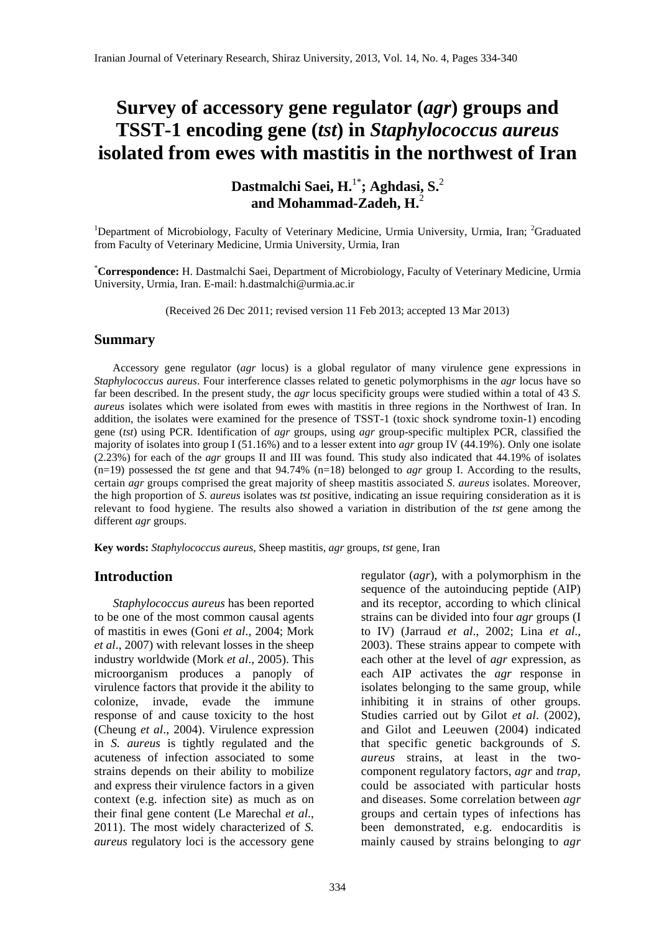# **Survey of accessory gene regulator (***agr***) groups and TSST-1 encoding gene (***tst***) in** *Staphylococcus aureus* **isolated from ewes with mastitis in the northwest of Iran**

**Dastmalchi Saei, H.**1\***; Aghdasi, S.**<sup>2</sup> **and Mohammad-Zadeh, H.**<sup>2</sup>

<sup>1</sup>Department of Microbiology, Faculty of Veterinary Medicine, Urmia University, Urmia, Iran; <sup>2</sup>Graduated from Faculty of Veterinary Medicine, Urmia University, Urmia, Iran

\* **Correspondence:** H. Dastmalchi Saei, Department of Microbiology, Faculty of Veterinary Medicine, Urmia University, Urmia, Iran. E-mail: h.dastmalchi@urmia.ac.ir

(Received 26 Dec 2011; revised version 11 Feb 2013; accepted 13 Mar 2013)

#### **Summary**

 Accessory gene regulator (*agr* locus) is a global regulator of many virulence gene expressions in *Staphylococcus aureus*. Four interference classes related to genetic polymorphisms in the *agr* locus have so far been described. In the present study, the *agr* locus specificity groups were studied within a total of 43 *S. aureus* isolates which were isolated from ewes with mastitis in three regions in the Northwest of Iran. In addition, the isolates were examined for the presence of TSST-1 (toxic shock syndrome toxin-1) encoding gene (*tst*) using PCR. Identification of *agr* groups, using *agr* group-specific multiplex PCR, classified the majority of isolates into group I (51.16%) and to a lesser extent into *agr* group IV (44.19%). Only one isolate (2.23%) for each of the *agr* groups II and III was found. This study also indicated that 44.19% of isolates (n=19) possessed the *tst* gene and that 94.74% (n=18) belonged to *agr* group I. According to the results, certain *agr* groups comprised the great majority of sheep mastitis associated *S. aureus* isolates. Moreover, the high proportion of *S. aureus* isolates was *tst* positive, indicating an issue requiring consideration as it is relevant to food hygiene. The results also showed a variation in distribution of the *tst* gene among the different *agr* groups.

**Key words:** *Staphylococcus aureus*, Sheep mastitis, *agr* groups, *tst* gene, Iran

## **Introduction**

 *Staphylococcus aureus* has been reported to be one of the most common causal agents of mastitis in ewes (Goni *et al*., 2004; Mork *et al*., 2007) with relevant losses in the sheep industry worldwide (Mork *et al*., 2005). This microorganism produces a panoply of virulence factors that provide it the ability to colonize, invade, evade the immune response of and cause toxicity to the host (Cheung *et al*., 2004). Virulence expression in *S. aureus* is tightly regulated and the acuteness of infection associated to some strains depends on their ability to mobilize and express their virulence factors in a given context (e.g. infection site) as much as on their final gene content (Le Marechal *et al*., 2011). The most widely characterized of *S. aureus* regulatory loci is the accessory gene regulator (*agr*), with a polymorphism in the sequence of the autoinducing peptide (AIP) and its receptor, according to which clinical strains can be divided into four *agr* groups (I to IV) (Jarraud *et al*., 2002; Lina *et al*., 2003). These strains appear to compete with each other at the level of *agr* expression, as each AIP activates the *agr* response in isolates belonging to the same group, while inhibiting it in strains of other groups. Studies carried out by Gilot *et al*. (2002), and Gilot and Leeuwen (2004) indicated that specific genetic backgrounds of *S. aureus* strains, at least in the twocomponent regulatory factors, *agr* and *trap*, could be associated with particular hosts and diseases. Some correlation between *agr* groups and certain types of infections has been demonstrated, e.g. endocarditis is mainly caused by strains belonging to *agr*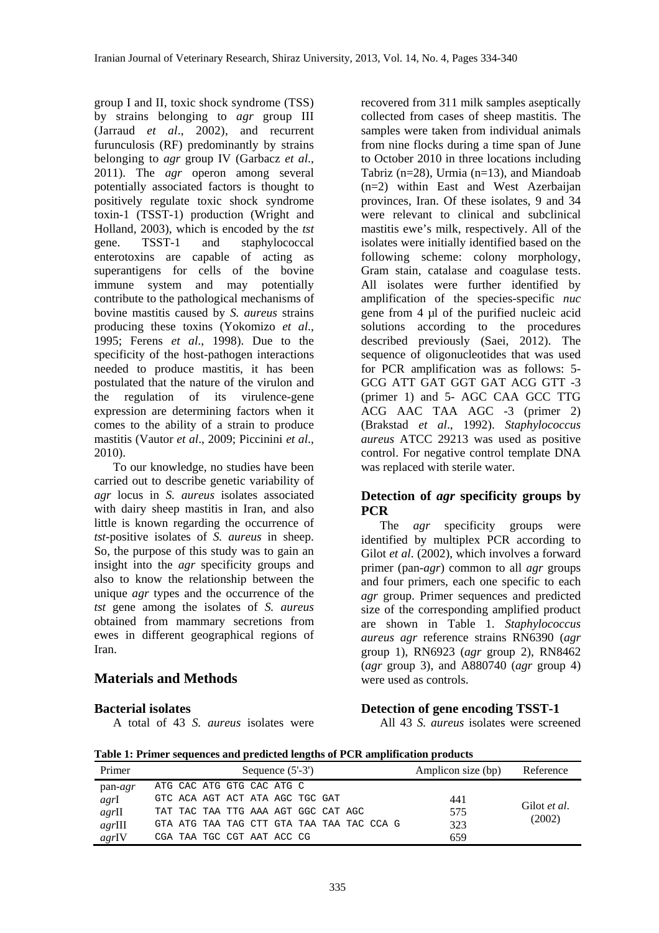group I and II, toxic shock syndrome (TSS) by strains belonging to *agr* group III (Jarraud *et al*., 2002), and recurrent furunculosis (RF) predominantly by strains belonging to *agr* group IV (Garbacz *et al*., 2011). The *agr* operon among several potentially associated factors is thought to positively regulate toxic shock syndrome toxin-1 (TSST-1) production (Wright and Holland, 2003), which is encoded by the *tst* gene. TSST-1 and staphylococcal enterotoxins are capable of acting as superantigens for cells of the bovine immune system and may potentially contribute to the pathological mechanisms of bovine mastitis caused by *S. aureus* strains producing these toxins (Yokomizo *et al*., 1995; Ferens *et al*., 1998). Due to the specificity of the host-pathogen interactions needed to produce mastitis, it has been postulated that the nature of the virulon and the regulation of its virulence-gene expression are determining factors when it comes to the ability of a strain to produce mastitis (Vautor *et al*., 2009; Piccinini *et al*., 2010).

 To our knowledge, no studies have been carried out to describe genetic variability of *agr* locus in *S. aureus* isolates associated with dairy sheep mastitis in Iran, and also little is known regarding the occurrence of *tst*-positive isolates of *S. aureus* in sheep. So, the purpose of this study was to gain an insight into the *agr* specificity groups and also to know the relationship between the unique *agr* types and the occurrence of the *tst* gene among the isolates of *S. aureus* obtained from mammary secretions from ewes in different geographical regions of Iran.

# **Materials and Methods**

**Bacterial isolates**  A total of 43 *S. aureus* isolates were recovered from 311 milk samples aseptically collected from cases of sheep mastitis. The samples were taken from individual animals from nine flocks during a time span of June to October 2010 in three locations including Tabriz ( $n=28$ ), Urmia ( $n=13$ ), and Miandoab (n=2) within East and West Azerbaijan provinces, Iran. Of these isolates, 9 and 34 were relevant to clinical and subclinical mastitis ewe's milk, respectively. All of the isolates were initially identified based on the following scheme: colony morphology, Gram stain, catalase and coagulase tests. All isolates were further identified by amplification of the species-specific *nuc* gene from 4 µl of the purified nucleic acid solutions according to the procedures described previously (Saei, 2012). The sequence of oligonucleotides that was used for PCR amplification was as follows: 5- GCG ATT GAT GGT GAT ACG GTT -3 (primer 1) and 5- AGC CAA GCC TTG ACG AAC TAA AGC -3 (primer 2) (Brakstad *et al*., 1992). *Staphylococcus aureus* ATCC 29213 was used as positive control. For negative control template DNA was replaced with sterile water.

## **Detection of** *agr* **specificity groups by PCR**

 The *agr* specificity groups were identified by multiplex PCR according to Gilot *et al*. (2002), which involves a forward primer (pan-*agr*) common to all *agr* groups and four primers, each one specific to each *agr* group. Primer sequences and predicted size of the corresponding amplified product are shown in Table 1. *Staphylococcus aureus agr* reference strains RN6390 (*agr* group 1), RN6923 (*agr* group 2), RN8462 (*agr* group 3), and A880740 (*agr* group 4) were used as controls.

**Detection of gene encoding TSST-1**

All 43 *S. aureus* isolates were screened

**Table 1: Primer sequences and predicted lengths of PCR amplification products** 

| Primer    | Sequence $(5'-3')$                        | Amplicon size (bp) | Reference    |
|-----------|-------------------------------------------|--------------------|--------------|
| $pan-agr$ | ATG CAC ATG GTG CAC ATG C                 |                    |              |
| agrI      | GTC ACA AGT ACT ATA AGC TGC GAT           | 441                |              |
| $agr$ II  | TAT TAC TAA TTG AAA AGT GGC CAT AGC       | 575                | Gilot et al. |
| $agr$ III | GTA ATG TAA TAG CTT GTA TAA TAA TAC CCA G | 323                | (2002)       |
| agrIV     | CGA TAA TGC CGT AAT ACC CG                | 659                |              |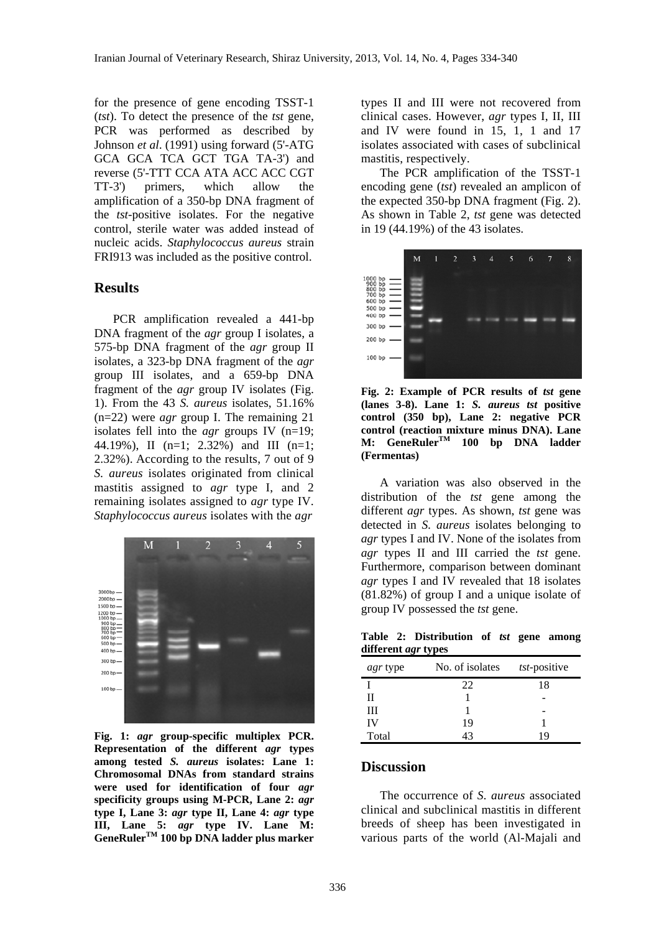for the presence of gene encoding TSST-1 (*tst*). To detect the presence of the *tst* gene, PCR was performed as described by Johnson *et al*. (1991) using forward (5'-ATG GCA GCA TCA GCT TGA TA-3') and reverse (5'-TTT CCA ATA ACC ACC CGT TT-3') primers, which allow the amplification of a 350-bp DNA fragment of the *tst*-positive isolates. For the negative control, sterile water was added instead of nucleic acids. *Staphylococcus aureus* strain FRI913 was included as the positive control.

### **Results**

 PCR amplification revealed a 441-bp DNA fragment of the *agr* group I isolates, a 575-bp DNA fragment of the *agr* group II isolates, a 323-bp DNA fragment of the *agr* group III isolates, and a 659-bp DNA fragment of the *agr* group IV isolates (Fig. 1). From the 43 *S. aureus* isolates, 51.16% (n=22) were *agr* group I. The remaining 21 isolates fell into the *agr* groups IV (n=19; 44.19%), II (n=1; 2.32%) and III (n=1; 2.32%). According to the results, 7 out of 9 *S. aureus* isolates originated from clinical mastitis assigned to *agr* type I, and 2 remaining isolates assigned to *agr* type IV. *Staphylococcus aureus* isolates with the *agr*



**Fig. 1:** *agr* **group-specific multiplex PCR. Representation of the different** *agr* **types among tested** *S. aureus* **isolates: Lane 1: Chromosomal DNAs from standard strains were used for identification of four** *agr* **specificity groups using M-PCR, Lane 2:** *agr* **type I, Lane 3:** *agr* **type II, Lane 4:** *agr* **type III, Lane 5:** *agr* **type IV. Lane M: GeneRulerTM 100 bp DNA ladder plus marker** 

types II and III were not recovered from clinical cases. However, *agr* types I, II, III and IV were found in 15, 1, 1 and 17 isolates associated with cases of subclinical mastitis, respectively.

 The PCR amplification of the TSST-1 encoding gene (*tst*) revealed an amplicon of the expected 350-bp DNA fragment (Fig. 2). As shown in Table 2, *tst* gene was detected in 19 (44.19%) of the 43 isolates.



**Fig. 2: Example of PCR results of** *tst* **gene (lanes 3-8). Lane 1:** *S. aureus tst* **positive control (350 bp), Lane 2: negative PCR control (reaction mixture minus DNA). Lane M: GeneRulerTM 100 bp DNA ladder (Fermentas)** 

 A variation was also observed in the distribution of the *tst* gene among the different *agr* types. As shown, *tst* gene was detected in *S. aureus* isolates belonging to *agr* types I and IV. None of the isolates from *agr* types II and III carried the *tst* gene. Furthermore, comparison between dominant *agr* types I and IV revealed that 18 isolates (81.82%) of group I and a unique isolate of group IV possessed the *tst* gene.

**Table 2: Distribution of** *tst* **gene among different** *agr* **types** 

| -               |                 |              |  |
|-----------------|-----------------|--------------|--|
| <i>agr</i> type | No. of isolates | tst-positive |  |
|                 | 22              | 18           |  |
| н               |                 |              |  |
| Ш               |                 |              |  |
| IV              | 19              |              |  |
| Total           |                 | i C          |  |

#### **Discussion**

 The occurrence of *S. aureus* associated clinical and subclinical mastitis in different breeds of sheep has been investigated in various parts of the world (Al-Majali and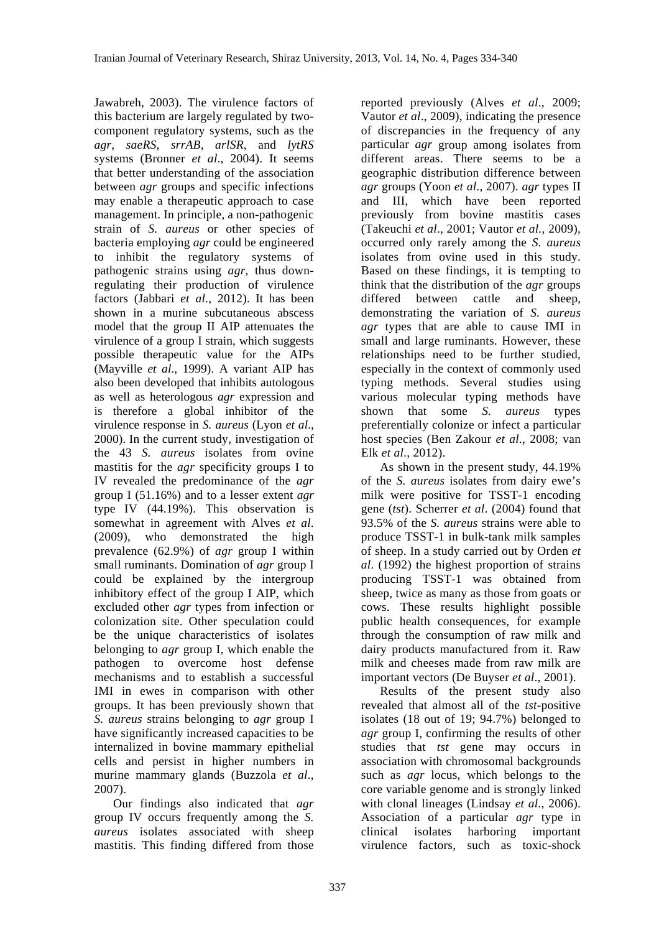Jawabreh, 2003). The virulence factors of this bacterium are largely regulated by twocomponent regulatory systems, such as the *agr*, *saeRS*, *srrAB*, *arlSR*, and *lytRS* systems (Bronner *et al*., 2004). It seems that better understanding of the association between *agr* groups and specific infections may enable a therapeutic approach to case management. In principle, a non-pathogenic strain of *S. aureus* or other species of bacteria employing *agr* could be engineered to inhibit the regulatory systems of pathogenic strains using *agr*, thus downregulating their production of virulence factors (Jabbari *et al*., 2012). It has been shown in a murine subcutaneous abscess model that the group II AIP attenuates the virulence of a group I strain, which suggests possible therapeutic value for the AIPs (Mayville *et al*., 1999). A variant AIP has also been developed that inhibits autologous as well as heterologous *agr* expression and is therefore a global inhibitor of the virulence response in *S. aureus* (Lyon *et al*., 2000). In the current study, investigation of the 43 *S. aureus* isolates from ovine mastitis for the *agr* specificity groups I to IV revealed the predominance of the *agr* group I (51.16%) and to a lesser extent *agr* type IV (44.19%). This observation is somewhat in agreement with Alves *et al*. (2009), who demonstrated the high prevalence (62.9%) of *agr* group I within small ruminants. Domination of *agr* group I could be explained by the intergroup inhibitory effect of the group I AIP, which excluded other *agr* types from infection or colonization site. Other speculation could be the unique characteristics of isolates belonging to *agr* group I, which enable the pathogen to overcome host defense mechanisms and to establish a successful IMI in ewes in comparison with other groups. It has been previously shown that *S. aureus* strains belonging to *agr* group I have significantly increased capacities to be internalized in bovine mammary epithelial cells and persist in higher numbers in murine mammary glands (Buzzola *et al*., 2007).

 Our findings also indicated that *agr* group IV occurs frequently among the *S. aureus* isolates associated with sheep mastitis. This finding differed from those reported previously (Alves *et al*., 2009; Vautor *et al*., 2009), indicating the presence of discrepancies in the frequency of any particular *agr* group among isolates from different areas. There seems to be a geographic distribution difference between *agr* groups (Yoon *et al*., 2007). *agr* types II and III, which have been reported previously from bovine mastitis cases (Takeuchi *et al*., 2001; Vautor *et al.*, 2009), occurred only rarely among the *S. aureus* isolates from ovine used in this study. Based on these findings, it is tempting to think that the distribution of the *agr* groups differed between cattle and sheep, demonstrating the variation of *S. aureus agr* types that are able to cause IMI in small and large ruminants. However, these relationships need to be further studied, especially in the context of commonly used typing methods. Several studies using various molecular typing methods have shown that some *S. aureus* types preferentially colonize or infect a particular host species (Ben Zakour *et al*., 2008; van Elk *et al*., 2012).

 As shown in the present study, 44.19% of the *S. aureus* isolates from dairy ewe's milk were positive for TSST-1 encoding gene (*tst*). Scherrer *et al*. (2004) found that 93.5% of the *S. aureus* strains were able to produce TSST-1 in bulk-tank milk samples of sheep. In a study carried out by Orden *et al*. (1992) the highest proportion of strains producing TSST-1 was obtained from sheep, twice as many as those from goats or cows. These results highlight possible public health consequences, for example through the consumption of raw milk and dairy products manufactured from it. Raw milk and cheeses made from raw milk are important vectors (De Buyser *et al*., 2001).

 Results of the present study also revealed that almost all of the *tst*-positive isolates (18 out of 19; 94.7%) belonged to *agr* group I, confirming the results of other studies that *tst* gene may occurs in association with chromosomal backgrounds such as *agr* locus, which belongs to the core variable genome and is strongly linked with clonal lineages (Lindsay *et al*., 2006). Association of a particular *agr* type in clinical isolates harboring important virulence factors, such as toxic-shock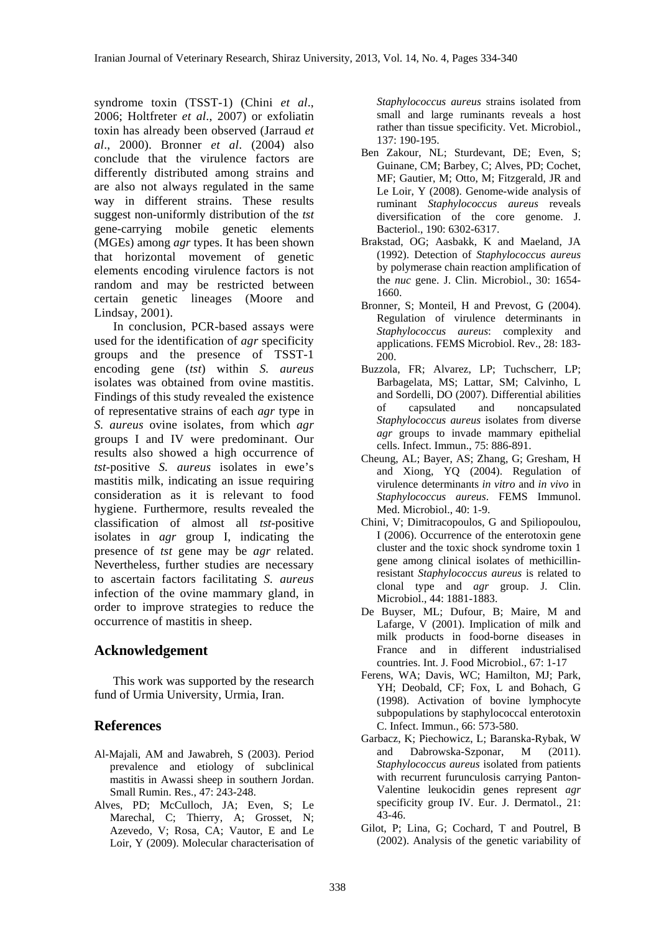syndrome toxin (TSST-1) (Chini *et al*., 2006; Holtfreter *et al*., 2007) or exfoliatin toxin has already been observed (Jarraud *et al*., 2000). Bronner *et al*. (2004) also conclude that the virulence factors are differently distributed among strains and are also not always regulated in the same way in different strains. These results suggest non-uniformly distribution of the *tst* gene-carrying mobile genetic elements (MGEs) among *agr* types. It has been shown that horizontal movement of genetic elements encoding virulence factors is not random and may be restricted between certain genetic lineages (Moore and Lindsay, 2001).

 In conclusion, PCR-based assays were used for the identification of *agr* specificity groups and the presence of TSST-1 encoding gene (*tst*) within *S. aureus* isolates was obtained from ovine mastitis. Findings of this study revealed the existence of representative strains of each *agr* type in *S. aureus* ovine isolates, from which *agr* groups I and IV were predominant. Our results also showed a high occurrence of *tst*-positive *S. aureus* isolates in ewe's mastitis milk, indicating an issue requiring consideration as it is relevant to food hygiene. Furthermore, results revealed the classification of almost all *tst*-positive isolates in *agr* group I, indicating the presence of *tst* gene may be *agr* related. Nevertheless, further studies are necessary to ascertain factors facilitating *S. aureus* infection of the ovine mammary gland, in order to improve strategies to reduce the occurrence of mastitis in sheep.

## **Acknowledgement**

 This work was supported by the research fund of Urmia University, Urmia, Iran.

## **References**

- Al-Majali, AM and Jawabreh, S (2003). Period prevalence and etiology of subclinical mastitis in Awassi sheep in southern Jordan. Small Rumin. Res., 47: 243-248.
- Alves, PD; McCulloch, JA; Even, S; Le Marechal, C; Thierry, A; Grosset, N; Azevedo, V; Rosa, CA; Vautor, E and Le Loir, Y (2009). Molecular characterisation of

*Staphylococcus aureus* strains isolated from small and large ruminants reveals a host rather than tissue specificity. Vet. Microbiol., 137: 190-195.

- Ben Zakour, NL; Sturdevant, DE; Even, S; Guinane, CM; Barbey, C; Alves, PD; Cochet, MF; Gautier, M; Otto, M; Fitzgerald, JR and Le Loir, Y (2008). Genome-wide analysis of ruminant *Staphylococcus aureus* reveals diversification of the core genome. J. Bacteriol., 190: 6302-6317.
- Brakstad, OG; Aasbakk, K and Maeland, JA (1992). Detection of *Staphylococcus aureus* by polymerase chain reaction amplification of the *nuc* gene. J. Clin. Microbiol., 30: 1654- 1660.
- Bronner, S; Monteil, H and Prevost, G (2004). Regulation of virulence determinants in *Staphylococcus aureus*: complexity and applications. FEMS Microbiol. Rev., 28: 183- 200.
- Buzzola, FR; Alvarez, LP; Tuchscherr, LP; Barbagelata, MS; Lattar, SM; Calvinho, L and Sordelli, DO (2007). Differential abilities of capsulated and noncapsulated *Staphylococcus aureus* isolates from diverse *agr* groups to invade mammary epithelial cells. Infect. Immun., 75: 886-891.
- Cheung, AL; Bayer, AS; Zhang, G; Gresham, H and Xiong, YQ (2004). Regulation of virulence determinants *in vitro* and *in vivo* in *Staphylococcus aureus*. FEMS Immunol. Med. Microbiol., 40: 1-9.
- Chini, V; Dimitracopoulos, G and Spiliopoulou, I (2006). Occurrence of the enterotoxin gene cluster and the toxic shock syndrome toxin 1 gene among clinical isolates of methicillinresistant *Staphylococcus aureus* is related to clonal type and *agr* group. J. Clin. Microbiol., 44: 1881-1883.
- De Buyser, ML; Dufour, B; Maire, M and Lafarge, V (2001). Implication of milk and milk products in food-borne diseases in France and in different industrialised countries. Int. J. Food Microbiol., 67: 1-17
- Ferens, WA; Davis, WC; Hamilton, MJ; Park, YH; Deobald, CF; Fox, L and Bohach, G (1998). Activation of bovine lymphocyte subpopulations by staphylococcal enterotoxin C. Infect. Immun., 66: 573-580.
- Garbacz, K; Piechowicz, L; Baranska-Rybak, W and Dabrowska-Szponar, M (2011). *Staphylococcus aureus* isolated from patients with recurrent furunculosis carrying Panton-Valentine leukocidin genes represent *agr* specificity group IV. Eur. J. Dermatol., 21: 43-46.
- Gilot, P; Lina, G; Cochard, T and Poutrel, B (2002). Analysis of the genetic variability of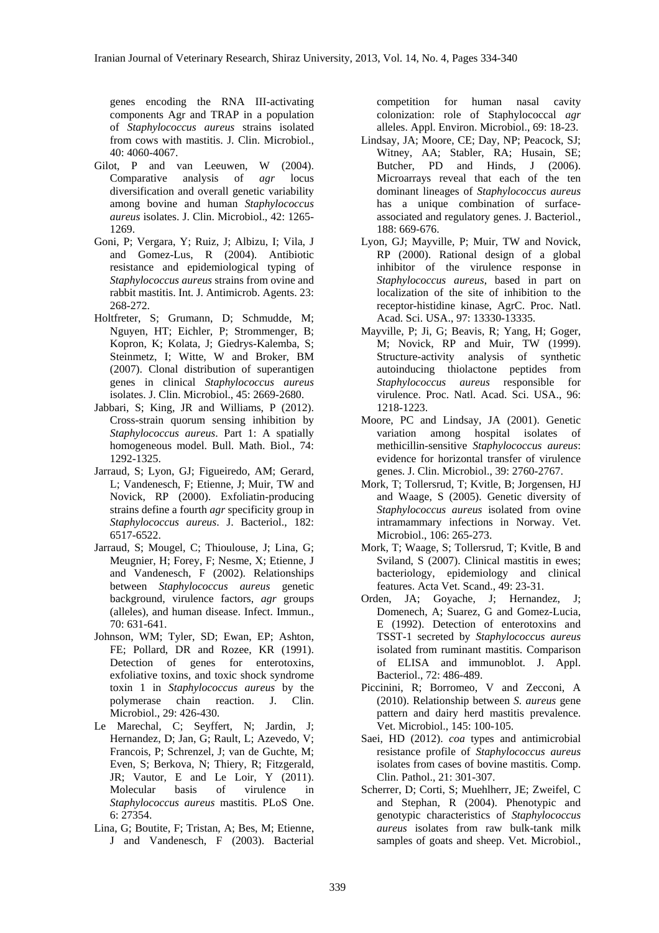genes encoding the RNA III-activating components Agr and TRAP in a population of *Staphylococcus aureus* strains isolated from cows with mastitis. J. Clin. Microbiol., 40: 4060-4067.

- Gilot, P and van Leeuwen, W (2004). Comparative analysis of *agr* locus diversification and overall genetic variability among bovine and human *Staphylococcus aureus* isolates. J. Clin. Microbiol., 42: 1265- 1269.
- Goni, P; Vergara, Y; Ruiz, J; Albizu, I; Vila, J and Gomez-Lus, R (2004). Antibiotic resistance and epidemiological typing of *Staphylococcus aureus* strains from ovine and rabbit mastitis. Int. J. Antimicrob. Agents. 23: 268-272.
- Holtfreter, S; Grumann, D; Schmudde, M; Nguyen, HT; Eichler, P; Strommenger, B; Kopron, K; Kolata, J; Giedrys-Kalemba, S; Steinmetz, I; Witte, W and Broker, BM (2007). Clonal distribution of superantigen genes in clinical *Staphylococcus aureus* isolates. J. Clin. Microbiol., 45: 2669-2680.
- Jabbari, S; King, JR and Williams, P (2012). Cross-strain quorum sensing inhibition by *Staphylococcus aureus*. Part 1: A spatially homogeneous model. Bull. Math. Biol., 74: 1292-1325.
- Jarraud, S; Lyon, GJ; Figueiredo, AM; Gerard, L; Vandenesch, F; Etienne, J; Muir, TW and Novick, RP (2000). Exfoliatin-producing strains define a fourth *agr* specificity group in *Staphylococcus aureus*. J. Bacteriol., 182: 6517-6522.
- Jarraud, S; Mougel, C; Thioulouse, J; Lina, G; Meugnier, H; Forey, F; Nesme, X; Etienne, J and Vandenesch, F (2002). Relationships between *Staphylococcus aureus* genetic background, virulence factors, *agr* groups (alleles), and human disease. Infect. Immun., 70: 631-641.
- Johnson, WM; Tyler, SD; Ewan, EP; Ashton, FE; Pollard, DR and Rozee, KR (1991). Detection of genes for enterotoxins, exfoliative toxins, and toxic shock syndrome toxin 1 in *Staphylococcus aureus* by the polymerase chain reaction. J. Clin. Microbiol., 29: 426-430.
- Le Marechal, C; Seyffert, N; Jardin, J; Hernandez, D; Jan, G; Rault, L; Azevedo, V; Francois, P; Schrenzel, J; van de Guchte, M; Even, S; Berkova, N; Thiery, R; Fitzgerald, JR; Vautor, E and Le Loir, Y (2011). Molecular basis of virulence in *Staphylococcus aureus* mastitis. PLoS One. 6: 27354.
- Lina, G; Boutite, F; Tristan, A; Bes, M; Etienne, J and Vandenesch, F (2003). Bacterial

competition for human nasal cavity colonization: role of Staphylococcal *agr* alleles. Appl. Environ. Microbiol., 69: 18-23.

- Lindsay, JA; Moore, CE; Day, NP; Peacock, SJ; Witney, AA: Stabler, RA: Husain, SE: Butcher, PD and Hinds, J (2006). Microarrays reveal that each of the ten dominant lineages of *Staphylococcus aureus* has a unique combination of surfaceassociated and regulatory genes. J. Bacteriol., 188: 669-676.
- Lyon, GJ; Mayville, P; Muir, TW and Novick, RP (2000). Rational design of a global inhibitor of the virulence response in *Staphylococcus aureus*, based in part on localization of the site of inhibition to the receptor-histidine kinase, AgrC. Proc. Natl. Acad. Sci. USA., 97: 13330-13335.
- Mayville, P; Ji, G; Beavis, R; Yang, H; Goger, M; Novick, RP and Muir, TW (1999). Structure-activity analysis of synthetic autoinducing thiolactone peptides from *Staphylococcus aureus* responsible for virulence. Proc. Natl. Acad. Sci. USA., 96: 1218-1223.
- Moore, PC and Lindsay, JA (2001). Genetic variation among hospital isolates of methicillin-sensitive *Staphylococcus aureus*: evidence for horizontal transfer of virulence genes. J. Clin. Microbiol., 39: 2760-2767.
- Mork, T; Tollersrud, T; Kvitle, B; Jorgensen, HJ and Waage, S (2005). Genetic diversity of *Staphylococcus aureus* isolated from ovine intramammary infections in Norway. Vet. Microbiol., 106: 265-273.
- Mork, T; Waage, S; Tollersrud, T; Kvitle, B and Sviland, S (2007). Clinical mastitis in ewes; bacteriology, epidemiology and clinical features. Acta Vet. Scand., 49: 23-31.
- Orden, JA; Goyache, J; Hernandez, J; Domenech, A; Suarez, G and Gomez-Lucia, E (1992). Detection of enterotoxins and TSST-1 secreted by *Staphylococcus aureus* isolated from ruminant mastitis. Comparison of ELISA and immunoblot. J. Appl. Bacteriol., 72: 486-489.
- Piccinini, R; Borromeo, V and Zecconi, A (2010). Relationship between *S. aureus* gene pattern and dairy herd mastitis prevalence. Vet. Microbiol., 145: 100-105.
- Saei, HD (2012). *coa* types and antimicrobial resistance profile of *Staphylococcus aureus* isolates from cases of bovine mastitis. Comp. Clin. Pathol., 21: 301-307.
- Scherrer, D; Corti, S; Muehlherr, JE; Zweifel, C and Stephan, R (2004). Phenotypic and genotypic characteristics of *Staphylococcus aureus* isolates from raw bulk-tank milk samples of goats and sheep. Vet. Microbiol.,